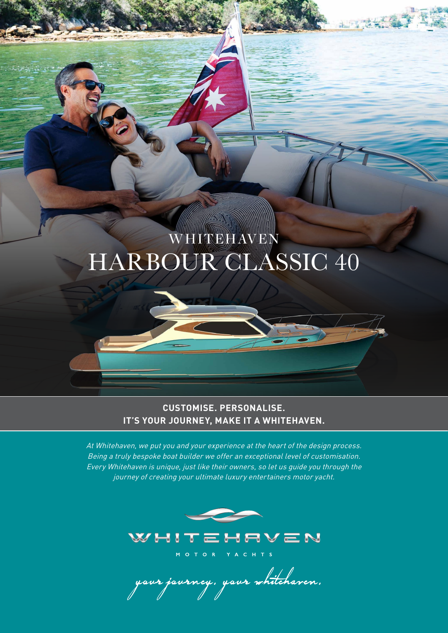# HARBOUR CLASSIC 40 WHITEHAVEN

 $\mathbb{R}^n$  . The set

### **CUSTOMISE. PERSONALISE. IT'S YOUR JOURNEY, MAKE IT A WHITEHAVEN.**

At Whitehaven, we put you and your experience at the heart of the design process. Being a truly bespoke boat builder we offer an exceptional level of customisation. Every Whitehaven is unique, just like their owners, so let us guide you through the journey of creating your ultimate luxury entertainers motor yacht.



aur jaurney, yaur whitehaven.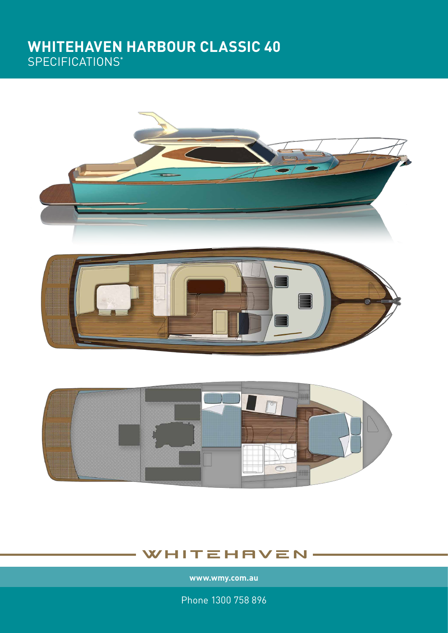### **WHITEHAVEN HARBOUR CLASSIC 40** SPECIFICATIONS\*





### WHITEHAVEN

**www.wmy.com.au**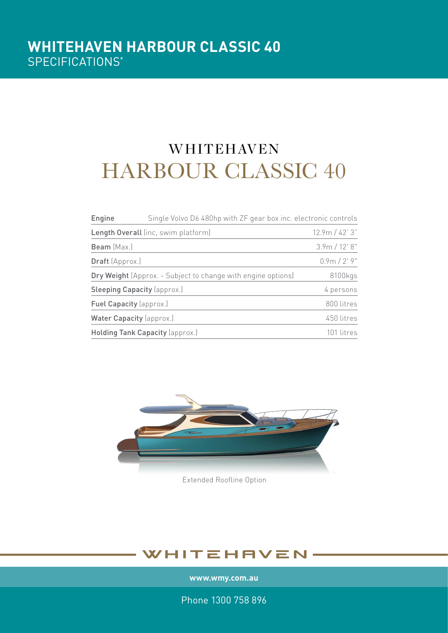# HARBOUR CLASSIC 40 **WHITEHAVEN**

| Engine                                                              | Single Volvo D6 480hp with ZF gear box inc. electronic controls |                |
|---------------------------------------------------------------------|-----------------------------------------------------------------|----------------|
| Length Overall (inc, swim platform)                                 |                                                                 | 12.9m / 42' 3" |
| Beam (Max.)                                                         |                                                                 | 3.9m / 12' 8"  |
| <b>Draft</b> (Approx.)                                              |                                                                 | $0.9m / 2'$ 9" |
| <b>Dry Weight</b> (Approx. - Subject to change with engine options) |                                                                 | 8100kgs        |
| <b>Sleeping Capacity (approx.)</b>                                  |                                                                 | 4 persons      |
| Fuel Capacity (approx.)                                             |                                                                 | 800 litres     |
| Water Capacity (approx.)                                            |                                                                 | 450 litres     |
| Holding Tank Capacity (approx.)                                     |                                                                 | 101 litres     |



Extended Roofline Option

### WHITEHAVEN

**www.wmy.com.au**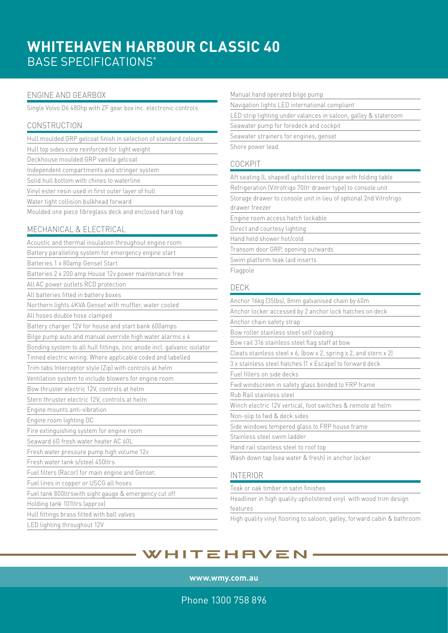### **WHITEHAVEN HARBOUR CLASSIC 40** BASE SPECIFICATIONS\*

#### ENGINE AND GEARBOX

Single Volvo D6 480hp with ZF gear box inc. electronic controls

#### **CONSTRUCTION**

| Hull moulded GRP gelcoat finish in selection of standard colours        |
|-------------------------------------------------------------------------|
| Hull top sides core reinforced for light weight                         |
| Deckhouse moulded GRP vanilla gelcoat                                   |
| Independent compartments and stringer system                            |
| Solid hull bottom with chines to waterline                              |
| Vinyl ester resin used in first outer layer of hull                     |
| Water tight collision bulkhead forward                                  |
| Moulded one piece fibreglass deck and enclosed hard top                 |
| MECHANICAL & ELECTRICAL                                                 |
| Acoustic and thermal insulation throughout engine room                  |
| Battery paralleling system for emergency engine start                   |
| Batteries 1 x 80amp Genset Start                                        |
| Batteries 2 x 200 amp House 12v power maintenance free                  |
| All AC power outlets RCD protection                                     |
| All batteries fitted in battery boxes                                   |
| Northern lights 4KVA Genset with muffler, water cooled                  |
| All hoses double hose clamped                                           |
| Battery charger 12V for house and start bank 600amps                    |
| Bilge pump auto and manual override high water alarms x 4               |
| Bonding system to all hull fittings, zinc anode incl. galvanic isolator |
| Tinned electric wiring. Where applicable coded and labelled             |
| Trim tabs Interceptor style (Zip) with controls at helm                 |
| Ventilation system to include blowers for engine room                   |
| Bow thruster electric 12V, controls at helm                             |
| Stern thruster electric 12V, controls at helm                           |
| Engine mounts anti-vibration                                            |
| Engine room lighting DC                                                 |
| Fire extinguishing system for engine room                               |
| Seaward 6G fresh water heater AC 60L                                    |
| Fresh water pressure pump high volume 12v                               |
| Fresh water tank s/steel 450ltrs                                        |
| Fuel filters (Racor) for main engine and Genset.                        |
| Fuel lines in copper or USCG all hoses                                  |
| Fuel tank 800ltrswith sight gauge & emergency cut off                   |
| Holding tank 101ltrs (approx)                                           |
| Hull fittings brass fitted with ball valves                             |
| LED lighting throughout 12V                                             |

| Manual hand operated bilge pump                                   |  |  |  |  |
|-------------------------------------------------------------------|--|--|--|--|
| Navigation lights LED international compliant                     |  |  |  |  |
| LED strip lighting under valances in saloon, galley & stateroom   |  |  |  |  |
| Seawater pump for foredeck and cockpit                            |  |  |  |  |
| Seawater strainers for engines, genset                            |  |  |  |  |
| Shore power lead.                                                 |  |  |  |  |
|                                                                   |  |  |  |  |
| <b>COCKPIT</b>                                                    |  |  |  |  |
| Aft seating (L shaped) upholstered lounge with folding table      |  |  |  |  |
| Refrigeration (Vitrofrigo 70ltr drawer type) to console unit      |  |  |  |  |
| Storage drawer to console unit in lieu of optional 2nd Vitrofrigo |  |  |  |  |
| drawer freezer                                                    |  |  |  |  |
| Engine room access hatch lockable                                 |  |  |  |  |
| Direct and courtesy lighting                                      |  |  |  |  |
| Hand held shower hot/cold                                         |  |  |  |  |
| Transom door GRP, opening outwards                                |  |  |  |  |
| Swim platform teak laid inserts                                   |  |  |  |  |
| Flagpole                                                          |  |  |  |  |
| <b>DECK</b>                                                       |  |  |  |  |
| Anchor 16kg (35lbs), 8mm galvanised chain by 60m                  |  |  |  |  |
| Anchor locker accessed by 2 anchor lock hatches on deck           |  |  |  |  |
| Anchor chain safety strap                                         |  |  |  |  |
| Bow roller stainless steel self loading                           |  |  |  |  |
|                                                                   |  |  |  |  |
| Bow rail 316 stainless steel flag staff at bow                    |  |  |  |  |
| Cleats stainless steel x 6, (bow x 2, spring x 2, and stern x 2)  |  |  |  |  |
| 3 x stainless steel hatches (1 x Escape) to forward deck          |  |  |  |  |
| Fuel fillers on side decks                                        |  |  |  |  |
| Fwd windscreen in safety glass bonded to FRP frame                |  |  |  |  |
| Rub Rail stainless steel                                          |  |  |  |  |
| Winch electric 12V vertical, foot switches & remote at helm       |  |  |  |  |
| Non-slip to fwd & deck sides                                      |  |  |  |  |
| Side windows tempered glass to FRP house frame                    |  |  |  |  |
| Stainless steel swim ladder                                       |  |  |  |  |
| Hand rail stainless steel to roof top                             |  |  |  |  |
| Wash down tap (sea water & fresh) in anchor locker                |  |  |  |  |

Teak or oak timber in satin finishes

Headliner in high quality upholstered vinyl with wood trim design features

High quality vinyl flooring to saloon, galley, forward cabin & bathroom

### WHITEHAVEN

**www.wmy.com.au**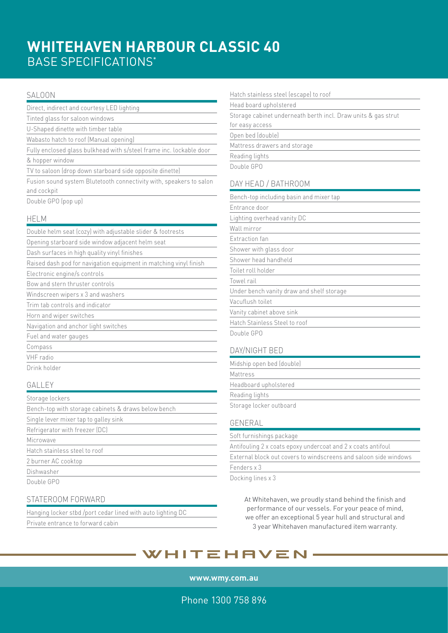## **WHITEHAVEN HARBOUR CLASSIC 40** BASE SPECIFICATIONS\*

#### SALOON

| Direct, indirect and courtesy LED lighting                                         |
|------------------------------------------------------------------------------------|
| Tinted glass for saloon windows                                                    |
| U-Shaped dinette with timber table                                                 |
| Wabasto hatch to roof (Manual opening)                                             |
| Fully enclosed glass bulkhead with s/steel frame inc. lockable door                |
| & hopper window                                                                    |
| TV to saloon (drop down starboard side opposite dinette)                           |
| Fusion sound system Blutetooth connectivity with, speakers to salon<br>and cockpit |
| Double GPO (pop up)                                                                |
| <b>HELM</b>                                                                        |
| Double helm seat (cozy) with adjustable slider & footrests                         |
| Opening starboard side window adjacent helm seat                                   |
| Dash surfaces in high quality vinyl finishes                                       |
| Raised dash pod for navigation equipment in matching vinyl finish                  |
| Electronic engine/s controls                                                       |
| Bow and stern thruster controls                                                    |
| Windscreen wipers x 3 and washers                                                  |
| Trim tab controls and indicator                                                    |
| Horn and wiper switches                                                            |
| Navigation and anchor light switches                                               |
| Fuel and water gauges                                                              |
| Compass                                                                            |
| VHF radio                                                                          |
| Drink holder                                                                       |
| GALLEY                                                                             |

| Storage lockers                                     |
|-----------------------------------------------------|
| Bench-top with storage cabinets & draws below bench |
| Single lever mixer tap to galley sink               |
| Refrigerator with freezer (DC)                      |
| Microwave                                           |
| Hatch stainless steel to roof                       |
| 2 burner AC cooktop                                 |
| Dishwasher                                          |
| Double GPO                                          |

#### STATEROOM FORWARD

| Hanging locker stbd /port cedar lined with auto lighting DC |  |
|-------------------------------------------------------------|--|
| Private entrance to forward cabin                           |  |

| Hatch stainless steel (escape) to roof                        |
|---------------------------------------------------------------|
| Head board upholstered                                        |
| Storage cabinet underneath berth incl. Draw units & gas strut |
| for easy access                                               |
| Open bed (double)                                             |
| Mattress drawers and storage                                  |
| Reading lights                                                |
| Double GPO                                                    |
| DAY HEAD / BATHROOM                                           |
| Bench-top including basin and mixer tap                       |
| Entrance door                                                 |
| Lighting overhead vanity DC                                   |
| Wall mirror                                                   |
| Extraction fan                                                |
| Shower with glass door                                        |
| Shower head handheld                                          |
| Toilet roll holder                                            |
| Towel rail                                                    |
| Under bench vanity draw and shelf storage                     |
| Vacuflush toilet                                              |
| Vanity cabinet above sink                                     |

latch Stainless Steel to roof

Double GPO

#### DAY/NIGHT BED

| Midship open bed (double) |  |
|---------------------------|--|
| Mattress                  |  |
| Headboard upholstered     |  |
| Reading lights            |  |
| Storage locker outboard   |  |
| GENERAL                   |  |
| Soft furnishings package  |  |

| Soft furnishings package                                         |
|------------------------------------------------------------------|
| Antifouling 2 x coats epoxy undercoat and 2 x coats antifoul     |
| External block out covers to windscreens and saloon side windows |
| Fenders x 3                                                      |

Docking lines x 3

At Whitehaven, we proudly stand behind the finish and performance of our vessels. For your peace of mind, we offer an exceptional 5 year hull and structural and 3 year Whitehaven manufactured item warranty.

### WHITEHAVEN

**www.wmy.com.au**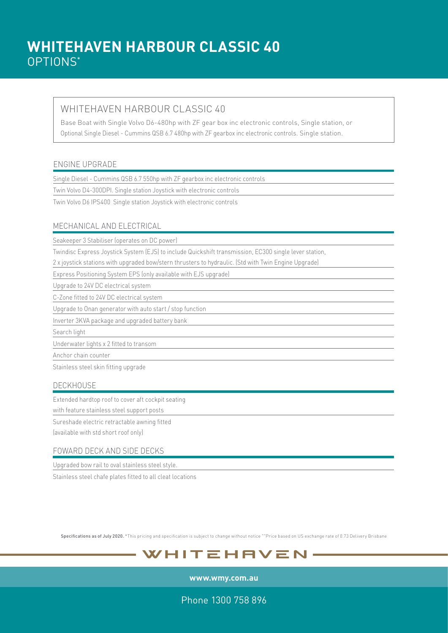#### WHITEHAVEN HARBOUR CLASSIC 40

Base Boat with Single Volvo D6-480hp with ZF gear box inc electronic controls, Single station, or Optional Single Diesel - Cummins QSB 6.7 480hp with ZF gearbox inc electronic controls. Single station.

#### ENGINE UPGRADE

Single Diesel - Cummins QSB 6.7 550hp with ZF gearbox inc electronic controls

Twin Volvo D4-300DPI. Single station Joystick with electronic controls

Twin Volvo D6 IPS400 Single station Joystick with electronic controls

#### MECHANICAL AND ELECTRICAL

Seakeeper 3 Stabiliser (operates on DC power)

Twindisc Express Joystick System (EJS) to include Quickshift transmission, EC300 single lever station,

2 x joystick stations with upgraded bow/stern thrusters to hydraulic. (Std with Twin Engine Upgrade)

Express Positioning System EPS (only available with EJS upgrade)

Upgrade to 24V DC electrical system

C-Zone fitted to 24V DC electrical system

Upgrade to Onan generator with auto start / stop function

Inverter 3KVA package and upgraded battery bank

Search light

Underwater lights x 2 fitted to transom

Anchor chain counter

Stainless steel skin fitting upgrade

#### DECKHOUSE

Extended hardtop roof to cover aft cockpit seating

with feature stainless steel support posts

Sureshade electric retractable awning fitted

(available with std short roof only)

#### FOWARD DECK AND SIDE DECKS

Upgraded bow rail to oval stainless steel style.

Stainless steel chafe plates fitted to all cleat locations

Specifications as of July 2020. \*This pricing and specification is subject to change without notice ""Price based on US exchange rate of 0.73 Delivery Brisbane

### WHITEHAVEN

**www.wmy.com.au**